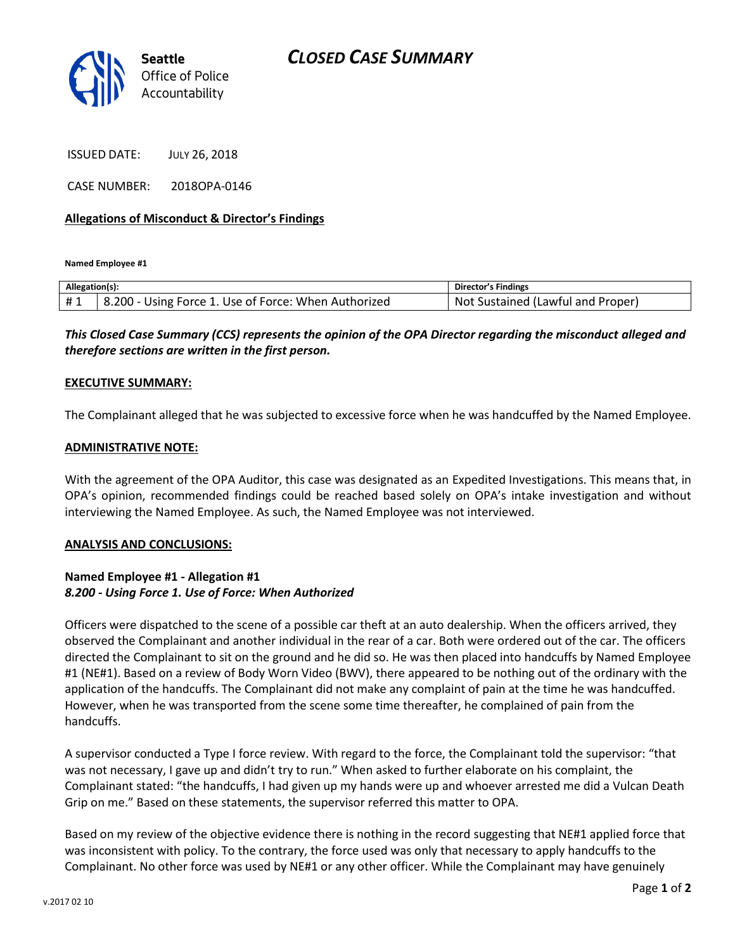

ISSUED DATE: JULY 26, 2018

CASE NUMBER: 2018OPA-0146

## **Allegations of Misconduct & Director's Findings**

**Named Employee #1**

| Allegation(s): |                                                      | Director's Findings               |
|----------------|------------------------------------------------------|-----------------------------------|
| #1             | 8.200 - Using Force 1. Use of Force: When Authorized | Not Sustained (Lawful and Proper) |

*This Closed Case Summary (CCS) represents the opinion of the OPA Director regarding the misconduct alleged and therefore sections are written in the first person.* 

### **EXECUTIVE SUMMARY:**

The Complainant alleged that he was subjected to excessive force when he was handcuffed by the Named Employee.

#### **ADMINISTRATIVE NOTE:**

With the agreement of the OPA Auditor, this case was designated as an Expedited Investigations. This means that, in OPA's opinion, recommended findings could be reached based solely on OPA's intake investigation and without interviewing the Named Employee. As such, the Named Employee was not interviewed.

#### **ANALYSIS AND CONCLUSIONS:**

## **Named Employee #1 - Allegation #1** *8.200 - Using Force 1. Use of Force: When Authorized*

Officers were dispatched to the scene of a possible car theft at an auto dealership. When the officers arrived, they observed the Complainant and another individual in the rear of a car. Both were ordered out of the car. The officers directed the Complainant to sit on the ground and he did so. He was then placed into handcuffs by Named Employee #1 (NE#1). Based on a review of Body Worn Video (BWV), there appeared to be nothing out of the ordinary with the application of the handcuffs. The Complainant did not make any complaint of pain at the time he was handcuffed. However, when he was transported from the scene some time thereafter, he complained of pain from the handcuffs.

A supervisor conducted a Type I force review. With regard to the force, the Complainant told the supervisor: "that was not necessary, I gave up and didn't try to run." When asked to further elaborate on his complaint, the Complainant stated: "the handcuffs, I had given up my hands were up and whoever arrested me did a Vulcan Death Grip on me." Based on these statements, the supervisor referred this matter to OPA.

Based on my review of the objective evidence there is nothing in the record suggesting that NE#1 applied force that was inconsistent with policy. To the contrary, the force used was only that necessary to apply handcuffs to the Complainant. No other force was used by NE#1 or any other officer. While the Complainant may have genuinely